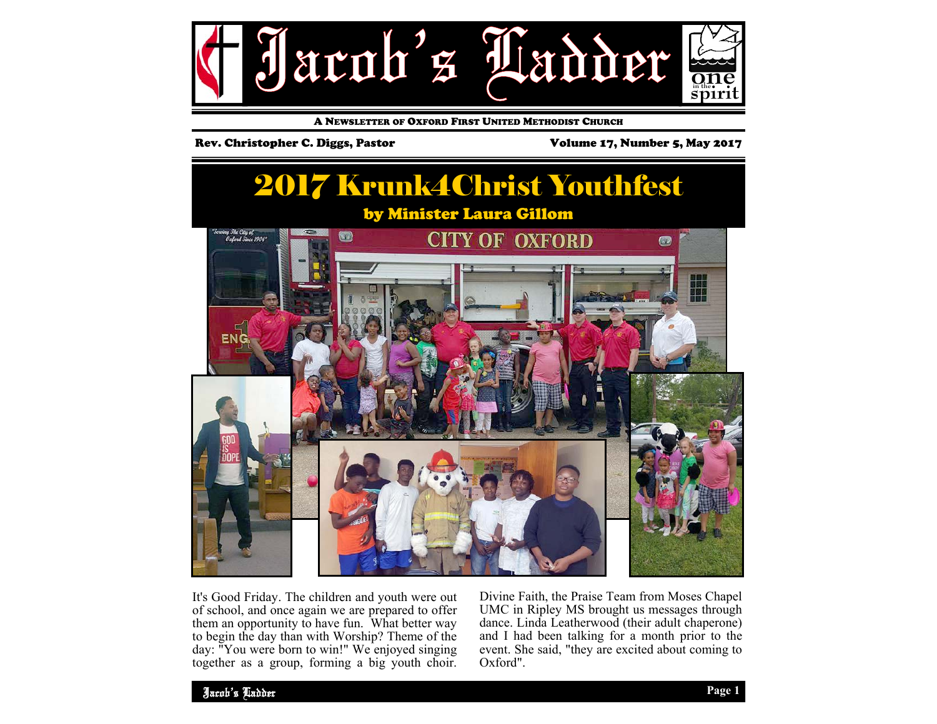

A NEWSLETTER OF OXFORD FIRST UNITED METHODIST CHURCH

#### Rev. Christopher C. Diggs, Pastor Volume 17, Number 5, May 2017



It's Good Friday. The children and youth were out of school, and once again we are prepared to offer them an opportunity to have fun. What better way to begin the day than with Worship? Theme of the day: "You were born to win!" We enjoyed singing together as a group, forming a big youth choir.

Divine Faith, the Praise Team from Moses Chapel UMC in Ripley MS brought us messages through dance. Linda Leatherwood (their adult chaperone) and I had been talking for a month prior to the event. She said, "they are excited about coming to Oxford".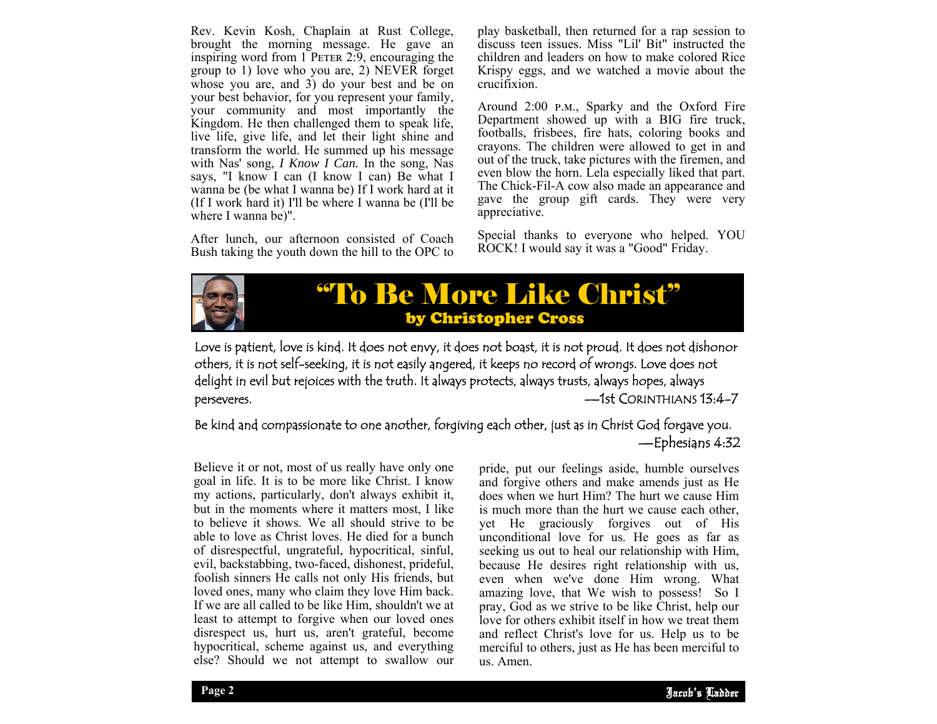Rev. Kevin Kosh, Chaplain at Rust College, brought the morning message. He gave an inspiring word from 1 PETER 2:9, encouraging the group to 1) love who you are, 2) NEVER forget whose you are, and 3) do your best and be on your best behavior, for you represent your family, your community and most importantly the Kingdom. He then challenged them to speak life, live life, give life, and let their light shine and transform the world. He summed up his message with Nas' song, *I Know I Can*. In the song, Nas says, "I know I can (I know I can) Be what I wanna be (be what I wanna be) If I work hard at it (If I work hard it) I'll be where I wanna be (I'll be where I wanna be)".

After lunch, our afternoon consisted of Coach Bush taking the youth down the hill to the OPC to play basketball, then returned for a rap session to discuss teen issues. Miss "Lil' Bit" instructed the children and leaders on how to make colored Rice Krispy eggs, and we watched a movie about the crucifixion.

Around 2:00 p.m., Sparky and the Oxford Fire Department showed up with a BIG fire truck, footballs, frisbees, fire hats, coloring books and crayons. The children were allowed to get in and out of the truck, take pictures with the firemen, and even blow the horn. Lela especially liked that part. The Chick-Fil-A cow also made an appearance and gave the group gift cards. They were very appreciative.

Special thanks to everyone who helped. YOU ROCK! I would say it was a "Good" Friday.



Love is patient, love is kind. It does not envy, it does not boast, it is not proud. It does not dishonor others, it is not self-seeking, it is not easily angered, it keeps no record of wrongs. Love does not delight in evil but rejoices with the truth. It always protects, always trusts, always hopes, always perseveres. —1st CORINTHIANS 13:4-7

#### Be kind and compassionate to one another, forgiving each other, just as in Christ God forgave you. —Ephesians 4:32

Believe it or not, most of us really have only one goal in life. It is to be more like Christ. I know my actions, particularly, don't always exhibit it, but in the moments where it matters most, I like to believe it shows. We all should strive to be able to love as Christ loves. He died for a bunch of disrespectful, ungrateful, hypocritical, sinful, evil, backstabbing, two-faced, dishonest, prideful, foolish sinners He calls not only His friends, but loved ones, many who claim they love Him back. If we are all called to be like Him, shouldn't we at least to attempt to forgive when our loved ones disrespect us, hurt us, aren't grateful, become hypocritical, scheme against us, and everything else? Should we not attempt to swallow our

love for others exhibit itself in how we treat them<br>and reflect Christ's love for us. Help us to be pride, put our feelings aside, humble ourselves and forgive others and make amends just as He does when we hurt Him? The hurt we cause Him is much more than the hurt we cause each other, yet He graciously forgives out of His unconditional love for us. He goes as far as seeking us out to heal our relationship with Him, because He desires right relationship with us, even when we've done Him wrong. What amazing love, that We wish to possess! So I pray, God as we strive to be like Christ, help our love for others exhibit itself in how we treat them merciful to others, just as He has been merciful to us. Amen.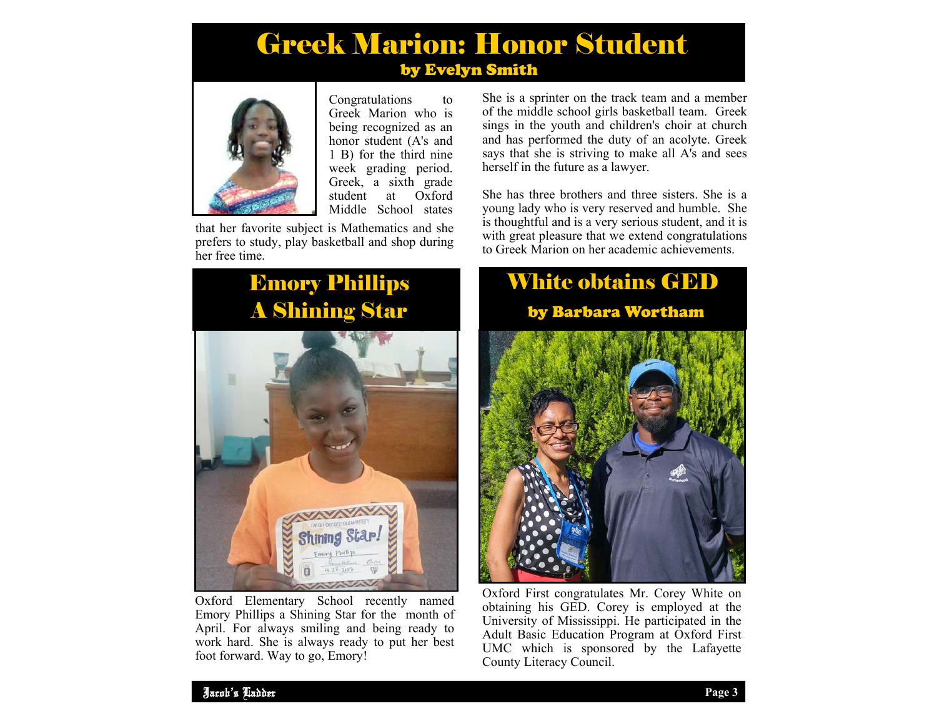### Greek Marion: Honor Student by Evelyn Smith



Congratulations to Greek Marion who is being recognized as an honor student (A's and 1 B) for the third nine week grading period. Greek, a sixth grade student at Oxford Middle School states

that her favorite subject is Mathematics and she prefers to study, play basketball and shop during her free time.

# Emory Phillips



Oxford Elementary School recently named Emory Phillips a Shining Star for the month of April. For always smiling and being ready to work hard. She is always ready to put her best foot forward. Way to go, Emory!

She is a sprinter on the track team and a member of the middle school girls basketball team. Greek sings in the youth and children's choir at church and has performed the duty of an acolyte. Greek says that she is striving to make all A's and sees herself in the future as a lawyer.

She has three brothers and three sisters. She is a young lady who is very reserved and humble. She is thoughtful and is a very serious student, and it is with great pleasure that we extend congratulations to Greek Marion on her academic achievements.



Oxford First congratulates Mr. Corey White on obtaining his GED. Corey is employed at the University of Mississippi. He participated in the Adult Basic Education Program at Oxford First UMC which is sponsored by the Lafayette County Literacy Council.